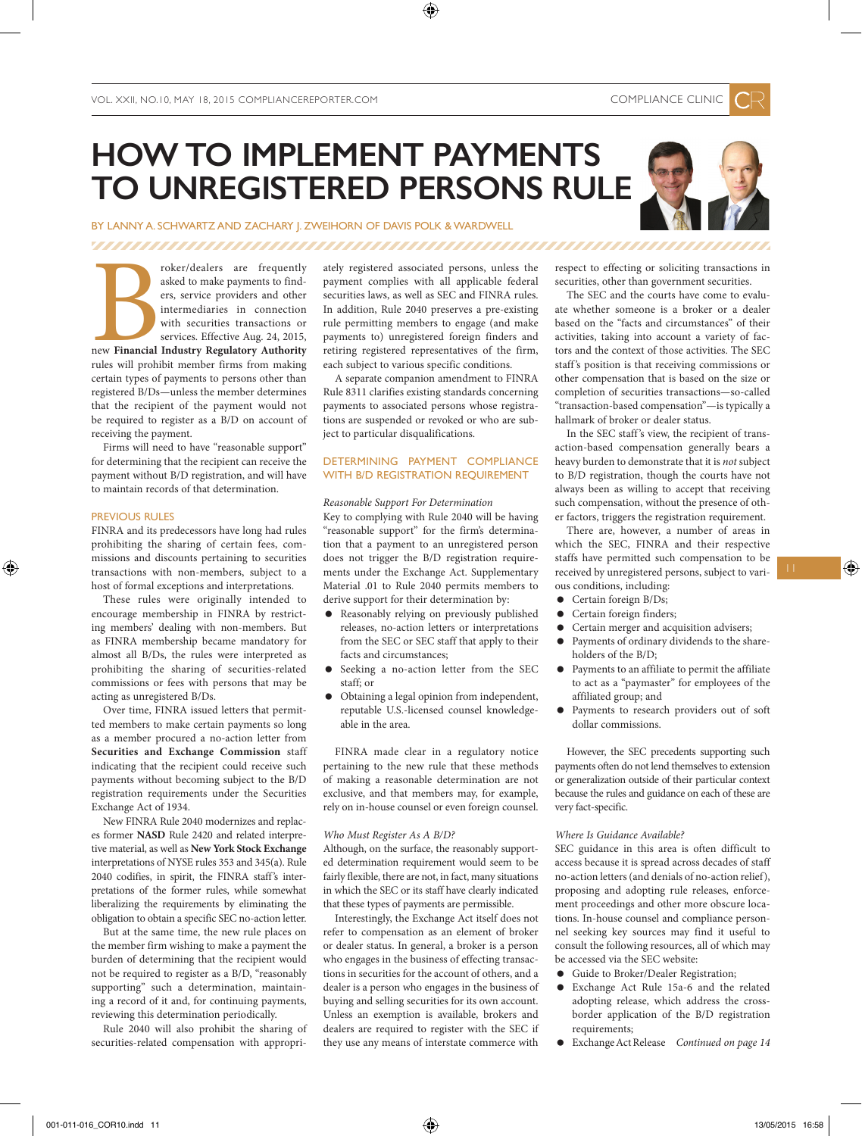# **HOW TO IMPLEMENT PAYMENTS TO UNREGISTERED PERSONS RULE**

### BY LANNY A. SCHWARTZ AND ZACHARY I. ZWEIHORN OF DAVIS POLK & WARDWELL

### 

**Example 18**<br>The Financial<br>Trules will prohi roker/dealers are frequently asked to make payments to finders, service providers and other intermediaries in connection with securities transactions or services. Effective Aug. 24, 2015, new **Financial Industry Regulatory Authority**  rules will prohibit member firms from making certain types of payments to persons other than registered B/Ds—unless the member determines that the recipient of the payment would not be required to register as a B/D on account of receiving the payment.

Firms will need to have "reasonable support" for determining that the recipient can receive the payment without B/D registration, and will have to maintain records of that determination.

### PREVIOUS RULES

FINRA and its predecessors have long had rules prohibiting the sharing of certain fees, commissions and discounts pertaining to securities transactions with non-members, subject to a host of formal exceptions and interpretations.

These rules were originally intended to encourage membership in FINRA by restricting members' dealing with non-members. But as FINRA membership became mandatory for almost all B/Ds, the rules were interpreted as prohibiting the sharing of securities-related commissions or fees with persons that may be acting as unregistered B/Ds.

Over time, FINRA issued letters that permitted members to make certain payments so long as a member procured a no-action letter from **Securities and Exchange Commission** staff indicating that the recipient could receive such payments without becoming subject to the B/D registration requirements under the Securities Exchange Act of 1934.

New FINRA Rule 2040 modernizes and replaces former **NASD** Rule 2420 and related interpretive material, as well as **New York Stock Exchange** interpretations of NYSE rules 353 and 345(a). Rule 2040 codifies, in spirit, the FINRA staff's interpretations of the former rules, while somewhat liberalizing the requirements by eliminating the obligation to obtain a specific SEC no-action letter.

But at the same time, the new rule places on the member firm wishing to make a payment the burden of determining that the recipient would not be required to register as a B/D, "reasonably supporting" such a determination, maintaining a record of it and, for continuing payments, reviewing this determination periodically.

Rule 2040 will also prohibit the sharing of securities-related compensation with appropriately registered associated persons, unless the payment complies with all applicable federal securities laws, as well as SEC and FINRA rules. In addition, Rule 2040 preserves a pre-existing rule permitting members to engage (and make payments to) unregistered foreign finders and retiring registered representatives of the firm, each subject to various specific conditions.

A separate companion amendment to FINRA Rule 8311 clarifies existing standards concerning payments to associated persons whose registrations are suspended or revoked or who are subject to particular disqualifications.

### DETERMINING PAYMENT COMPLIANCE WITH B/D REGISTRATION REQUIREMENT

#### *Reasonable Support For Determination*

Key to complying with Rule 2040 will be having "reasonable support" for the firm's determination that a payment to an unregistered person does not trigger the B/D registration requirements under the Exchange Act. Supplementary Material .01 to Rule 2040 permits members to derive support for their determination by:

- Reasonably relying on previously published releases, no-action letters or interpretations from the SEC or SEC staff that apply to their facts and circumstances;
- Seeking a no-action letter from the SEC staff; or
- Obtaining a legal opinion from independent, reputable U.S.-licensed counsel knowledgeable in the area.

FINRA made clear in a regulatory notice pertaining to the new rule that these methods of making a reasonable determination are not exclusive, and that members may, for example, rely on in-house counsel or even foreign counsel.

### *Who Must Register As A B/D?*

Although, on the surface, the reasonably supported determination requirement would seem to be fairly flexible, there are not, in fact, many situations in which the SEC or its staff have clearly indicated that these types of payments are permissible.

Interestingly, the Exchange Act itself does not refer to compensation as an element of broker or dealer status. In general, a broker is a person who engages in the business of effecting transactions in securities for the account of others, and a dealer is a person who engages in the business of buying and selling securities for its own account. Unless an exemption is available, brokers and dealers are required to register with the SEC if they use any means of interstate commerce with

respect to effecting or soliciting transactions in securities, other than government securities.

The SEC and the courts have come to evaluate whether someone is a broker or a dealer based on the "facts and circumstances" of their activities, taking into account a variety of factors and the context of those activities. The SEC staff 's position is that receiving commissions or other compensation that is based on the size or completion of securities transactions—so-called "transaction-based compensation"—is typically a hallmark of broker or dealer status.

In the SEC staff's view, the recipient of transaction-based compensation generally bears a heavy burden to demonstrate that it is *not* subject to B/D registration, though the courts have not always been as willing to accept that receiving such compensation, without the presence of other factors, triggers the registration requirement.

There are, however, a number of areas in which the SEC, FINRA and their respective staffs have permitted such compensation to be received by unregistered persons, subject to various conditions, including:

- Certain foreign B/Ds;
- Certain foreign finders;
- Certain merger and acquisition advisers;
- Payments of ordinary dividends to the shareholders of the B/D;
- Payments to an affiliate to permit the affiliate to act as a "paymaster" for employees of the affiliated group; and
- Payments to research providers out of soft dollar commissions.

However, the SEC precedents supporting such payments often do not lend themselves to extension or generalization outside of their particular context because the rules and guidance on each of these are very fact-specific.

### *Where Is Guidance Available?*

SEC guidance in this area is often difficult to access because it is spread across decades of staff no-action letters (and denials of no-action relief), proposing and adopting rule releases, enforcement proceedings and other more obscure locations. In-house counsel and compliance personnel seeking key sources may find it useful to consult the following resources, all of which may be accessed via the SEC website:

- Guide to Broker/Dealer Registration;
- Exchange Act Rule 15a-6 and the related adopting release, which address the crossborder application of the B/D registration requirements;
- Exchange Act Release *Continued on page 14*